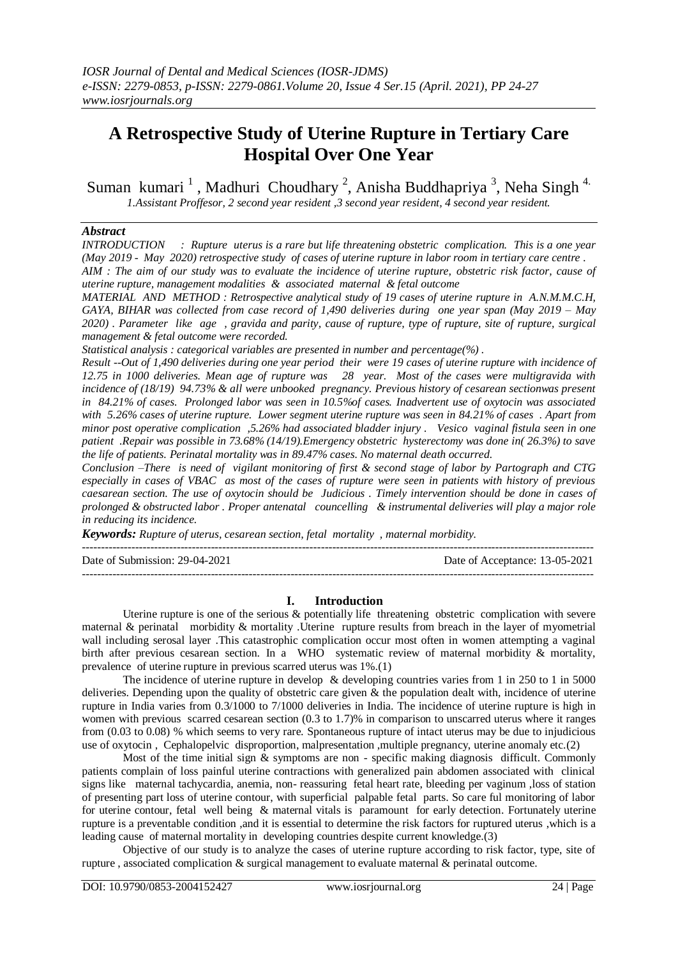# **A Retrospective Study of Uterine Rupture in Tertiary Care Hospital Over One Year**

Suman kumari<sup>1</sup>, Madhuri Choudhary<sup>2</sup>, Anisha Buddhapriya<sup>3</sup>, Neha Singh<sup>4.</sup> *1.Assistant Proffesor, 2 second year resident ,3 second year resident, 4 second year resident.*

# *Abstract*

*INTRODUCTION : Rupture uterus is a rare but life threatening obstetric complication. This is a one year (May 2019 - May 2020) retrospective study of cases of uterine rupture in labor room in tertiary care centre . AIM : The aim of our study was to evaluate the incidence of uterine rupture, obstetric risk factor, cause of uterine rupture, management modalities & associated maternal & fetal outcome*

*MATERIAL AND METHOD : Retrospective analytical study of 19 cases of uterine rupture in A.N.M.M.C.H, GAYA, BIHAR was collected from case record of 1,490 deliveries during one year span (May 2019 – May 2020) . Parameter like age , gravida and parity, cause of rupture, type of rupture, site of rupture, surgical management & fetal outcome were recorded.*

*Statistical analysis : categorical variables are presented in number and percentage(%) .*

*Result --Out of 1,490 deliveries during one year period their were 19 cases of uterine rupture with incidence of 12.75 in 1000 deliveries. Mean age of rupture was 28 year. Most of the cases were multigravida with incidence of (18/19) 94.73% & all were unbooked pregnancy. Previous history of cesarean sectionwas present in 84.21% of cases. Prolonged labor was seen in 10.5%of cases. Inadvertent use of oxytocin was associated with 5.26% cases of uterine rupture. Lower segment uterine rupture was seen in 84.21% of cases . Apart from minor post operative complication ,5.26% had associated bladder injury . Vesico vaginal fistula seen in one patient .Repair was possible in 73.68% (14/19).Emergency obstetric hysterectomy was done in( 26.3%) to save the life of patients. Perinatal mortality was in 89.47% cases. No maternal death occurred.*

*Conclusion –There is need of vigilant monitoring of first & second stage of labor by Partograph and CTG especially in cases of VBAC as most of the cases of rupture were seen in patients with history of previous caesarean section. The use of oxytocin should be Judicious . Timely intervention should be done in cases of prolonged & obstructed labor . Proper antenatal councelling & instrumental deliveries will play a major role in reducing its incidence.*

*Keywords: Rupture of uterus, cesarean section, fetal mortality , maternal morbidity.*

| Date of Submission: 29-04-2021 | Date of Acceptance: 13-05-2021 |
|--------------------------------|--------------------------------|
|                                |                                |

# **I. Introduction**

Uterine rupture is one of the serious & potentially life threatening obstetric complication with severe maternal & perinatal morbidity & mortality .Uterine rupture results from breach in the layer of myometrial wall including serosal layer .This catastrophic complication occur most often in women attempting a vaginal birth after previous cesarean section. In a WHO systematic review of maternal morbidity & mortality, prevalence of uterine rupture in previous scarred uterus was 1%.(1)

The incidence of uterine rupture in develop  $\&$  developing countries varies from 1 in 250 to 1 in 5000 deliveries. Depending upon the quality of obstetric care given & the population dealt with, incidence of uterine rupture in India varies from 0.3/1000 to 7/1000 deliveries in India. The incidence of uterine rupture is high in women with previous scarred cesarean section (0.3 to 1.7)% in comparison to unscarred uterus where it ranges from (0.03 to 0.08) % which seems to very rare. Spontaneous rupture of intact uterus may be due to injudicious use of oxytocin , Cephalopelvic disproportion, malpresentation ,multiple pregnancy, uterine anomaly etc.(2)

Most of the time initial sign & symptoms are non - specific making diagnosis difficult. Commonly patients complain of loss painful uterine contractions with generalized pain abdomen associated with clinical signs like maternal tachycardia, anemia, non- reassuring fetal heart rate, bleeding per vaginum ,loss of station of presenting part loss of uterine contour, with superficial palpable fetal parts. So care ful monitoring of labor for uterine contour, fetal well being & maternal vitals is paramount for early detection. Fortunately uterine rupture is a preventable condition ,and it is essential to determine the risk factors for ruptured uterus ,which is a leading cause of maternal mortality in developing countries despite current knowledge.(3)

Objective of our study is to analyze the cases of uterine rupture according to risk factor, type, site of rupture , associated complication & surgical management to evaluate maternal & perinatal outcome.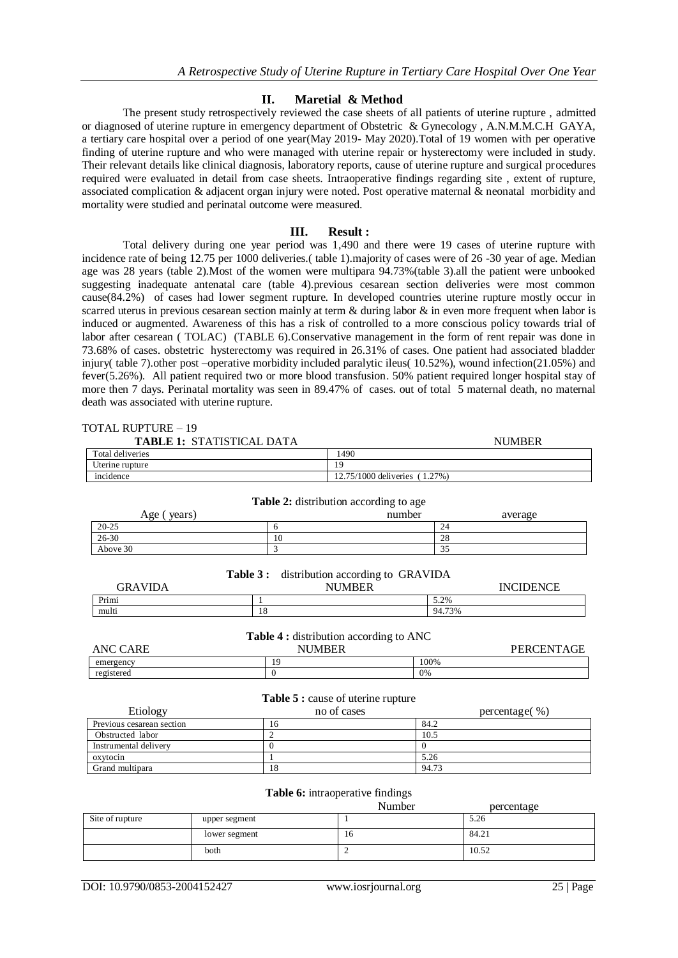# **II. Maretial & Method**

The present study retrospectively reviewed the case sheets of all patients of uterine rupture , admitted or diagnosed of uterine rupture in emergency department of Obstetric & Gynecology , A.N.M.M.C.H GAYA, a tertiary care hospital over a period of one year(May 2019- May 2020).Total of 19 women with per operative finding of uterine rupture and who were managed with uterine repair or hysterectomy were included in study. Their relevant details like clinical diagnosis, laboratory reports, cause of uterine rupture and surgical procedures required were evaluated in detail from case sheets. Intraoperative findings regarding site , extent of rupture, associated complication & adjacent organ injury were noted. Post operative maternal & neonatal morbidity and mortality were studied and perinatal outcome were measured.

## **III. Result :**

Total delivery during one year period was 1,490 and there were 19 cases of uterine rupture with incidence rate of being 12.75 per 1000 deliveries.( table 1).majority of cases were of 26 -30 year of age. Median age was 28 years (table 2).Most of the women were multipara 94.73%(table 3).all the patient were unbooked suggesting inadequate antenatal care (table 4).previous cesarean section deliveries were most common cause(84.2%) of cases had lower segment rupture. In developed countries uterine rupture mostly occur in scarred uterus in previous cesarean section mainly at term & during labor & in even more frequent when labor is induced or augmented. Awareness of this has a risk of controlled to a more conscious policy towards trial of labor after cesarean ( TOLAC) (TABLE 6).Conservative management in the form of rent repair was done in 73.68% of cases. obstetric hysterectomy was required in 26.31% of cases. One patient had associated bladder injury( table 7).other post –operative morbidity included paralytic ileus( 10.52%), wound infection(21.05%) and fever(5.26%). All patient required two or more blood transfusion. 50% patient required longer hospital stay of more then 7 days. Perinatal mortality was seen in 89.47% of cases. out of total 5 maternal death, no maternal death was associated with uterine rupture.

| TOTAL RUPTURE – 19               |              |                                                |        |                  |
|----------------------------------|--------------|------------------------------------------------|--------|------------------|
| <b>TABLE 1: STATISTICAL DATA</b> |              |                                                |        | <b>NUMBER</b>    |
| <b>Total deliveries</b>          |              | 1490                                           |        |                  |
| Uterine rupture                  |              | 19                                             |        |                  |
| incidence                        |              | 12.75/1000 deliveries (1.27%)                  |        |                  |
|                                  |              | <b>Table 2:</b> distribution according to age  |        |                  |
| Age (years)                      |              | number                                         |        | average          |
| $20 - 25$                        | 6            |                                                | 24     |                  |
| 26-30                            | 10           |                                                | 28     |                  |
| Above 30                         | 3            |                                                | 35     |                  |
|                                  | Table 3 :    | distribution according to GRAVIDA              |        |                  |
| <b>GRAVIDA</b>                   |              | <b>NUMBER</b>                                  |        | <b>INCIDENCE</b> |
| Primi                            | $\mathbf{1}$ |                                                | 5.2%   |                  |
| multi                            | 18           |                                                | 94.73% |                  |
|                                  |              | <b>Table 4 :</b> distribution according to ANC |        |                  |
| <b>ANC CARE</b>                  |              | <b>NUMBER</b>                                  |        | PERCENTAGE       |
| emergency                        | 19           |                                                | 100%   |                  |
| registered                       | $\theta$     |                                                | 0%     |                  |

| Table 5 : cause of uterine rupture |             |               |  |
|------------------------------------|-------------|---------------|--|
| Etiology                           | no of cases | percentage(%) |  |
| Previous cesarean section          | 16          | 84.2          |  |
| Obstructed labor                   |             | 10.5          |  |
| Instrumental delivery              |             |               |  |
| oxytocin                           |             | 5.26          |  |
| Grand multipara                    | 18          | 94.73         |  |

### **Table 6:** intraoperative findings

|                 |               | Number | percentage |
|-----------------|---------------|--------|------------|
| Site of rupture | upper segment |        | 5.26       |
|                 | lower segment | 10     | 84.21      |
|                 | both          |        | 10.52      |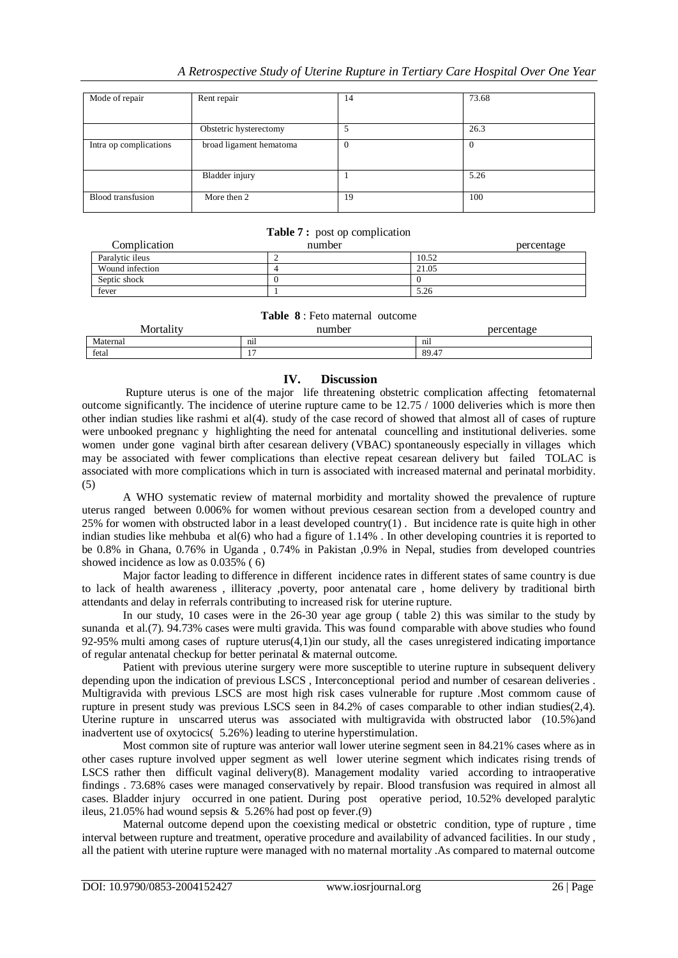# *A Retrospective Study of Uterine Rupture in Tertiary Care Hospital Over One Year*

| Mode of repair           | Rent repair             | 14             | 73.68    |
|--------------------------|-------------------------|----------------|----------|
|                          |                         |                |          |
|                          | Obstetric hysterectomy  | 5              | 26.3     |
| Intra op complications   | broad ligament hematoma | $\overline{0}$ | $\Omega$ |
|                          | Bladder injury          |                | 5.26     |
| <b>Blood</b> transfusion | More then 2             | 19             | 100      |

# **Table 7 :** post op complication

| Complication    | number | percentage |
|-----------------|--------|------------|
| Paralytic ileus |        | 10.52      |
| Wound infection |        | 21.05      |
| Septic shock    |        |            |
| fever           |        | 5.26       |

### **Table 8** : Feto maternal outcome

| $\sim$ $\sim$<br>$\mathbf{A}$<br>Mortalıtv | number     | percentage    |
|--------------------------------------------|------------|---------------|
| Maternal                                   | nil        | $\cdot$<br>n1 |
| fetal                                      | . .<br>. . | 89.47         |

# **IV. Discussion**

Rupture uterus is one of the major life threatening obstetric complication affecting fetomaternal outcome significantly. The incidence of uterine rupture came to be 12.75 / 1000 deliveries which is more then other indian studies like rashmi et al(4). study of the case record of showed that almost all of cases of rupture were unbooked pregnanc y highlighting the need for antenatal councelling and institutional deliveries. some women under gone vaginal birth after cesarean delivery (VBAC) spontaneously especially in villages which may be associated with fewer complications than elective repeat cesarean delivery but failed TOLAC is associated with more complications which in turn is associated with increased maternal and perinatal morbidity. (5)

A WHO systematic review of maternal morbidity and mortality showed the prevalence of rupture uterus ranged between 0.006% for women without previous cesarean section from a developed country and 25% for women with obstructed labor in a least developed country $(1)$ . But incidence rate is quite high in other indian studies like mehbuba et al(6) who had a figure of 1.14% . In other developing countries it is reported to be 0.8% in Ghana, 0.76% in Uganda , 0.74% in Pakistan ,0.9% in Nepal, studies from developed countries showed incidence as low as 0.035% ( 6)

Major factor leading to difference in different incidence rates in different states of same country is due to lack of health awareness , illiteracy ,poverty, poor antenatal care , home delivery by traditional birth attendants and delay in referrals contributing to increased risk for uterine rupture.

In our study, 10 cases were in the 26-30 year age group ( table 2) this was similar to the study by sunanda et al.(7). 94.73% cases were multi gravida. This was found comparable with above studies who found 92-95% multi among cases of rupture uterus(4,1)in our study, all the cases unregistered indicating importance of regular antenatal checkup for better perinatal & maternal outcome.

Patient with previous uterine surgery were more susceptible to uterine rupture in subsequent delivery depending upon the indication of previous LSCS , Interconceptional period and number of cesarean deliveries . Multigravida with previous LSCS are most high risk cases vulnerable for rupture .Most commom cause of rupture in present study was previous LSCS seen in 84.2% of cases comparable to other indian studies(2,4). Uterine rupture in unscarred uterus was associated with multigravida with obstructed labor (10.5%)and inadvertent use of oxytocics( 5.26%) leading to uterine hyperstimulation.

Most common site of rupture was anterior wall lower uterine segment seen in 84.21% cases where as in other cases rupture involved upper segment as well lower uterine segment which indicates rising trends of LSCS rather then difficult vaginal delivery(8). Management modality varied according to intraoperative findings . 73.68% cases were managed conservatively by repair. Blood transfusion was required in almost all cases. Bladder injury occurred in one patient. During post operative period, 10.52% developed paralytic ileus, 21.05% had wound sepsis  $\&$  5.26% had post op fever.(9)

Maternal outcome depend upon the coexisting medical or obstetric condition, type of rupture , time interval between rupture and treatment, operative procedure and availability of advanced facilities. In our study , all the patient with uterine rupture were managed with no maternal mortality .As compared to maternal outcome